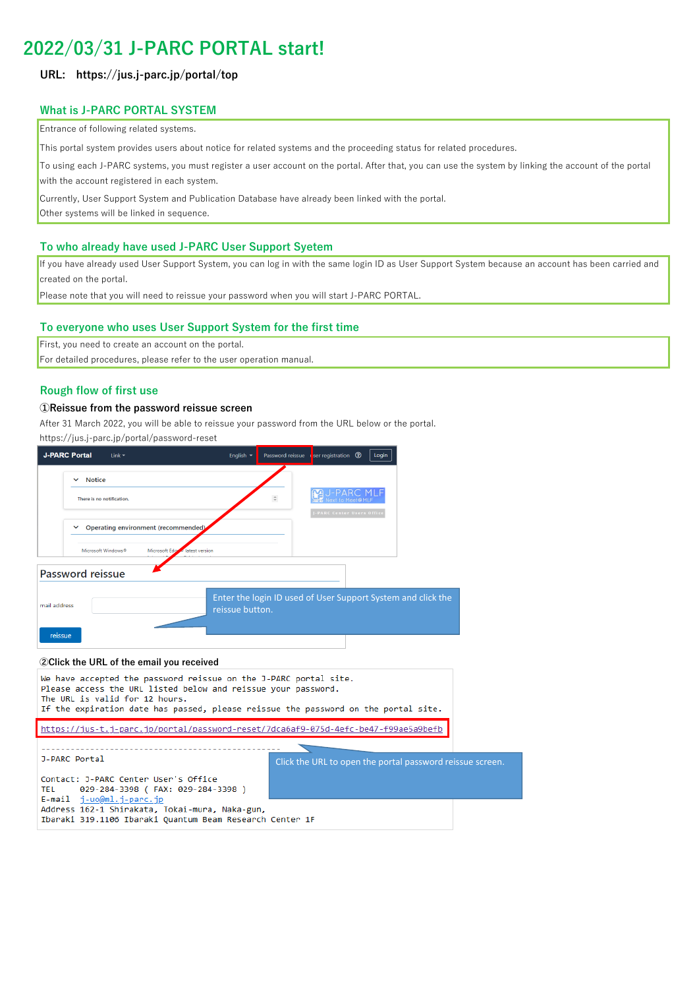# **2022/03/31 J-PARC PORTAL start!**

## **URL: https://jus.j-parc.jp/portal/top**

# **What is J-PARC PORTAL SYSTEM**

**Entrance of following related systems.** 

This portal system provides users about notice for related systems and the proceeding status for related procedures.

To using each J-PARC systems, you must register a user account on the portal. After that, you can use the system by linking the account of the portal with the account registered in each system.

Currently, User Support System and Publication Database have already been linked with the portal.

Other systems will be linked in sequence.

## **To who already have used J-PARC User Support Syetem**

If you have already used User Support System, you can log in with the same login ID as User Support System because an account has been carried and created on the portal.

Please note that you will need to reissue your password when you will start J-PARC PORTAL.

## **To everyone who uses User Support System for the first time**

First, you need to create an account on the portal.

For detailed procedures, please refer to the user operation manual.

## **Rough flow of first use**

#### **①Reissue from the password reissue screen**

After 31 March 2022, you will be able to reissue your password from the URL below or the portal.

https://jus.j-parc.jp/portal/password-reset

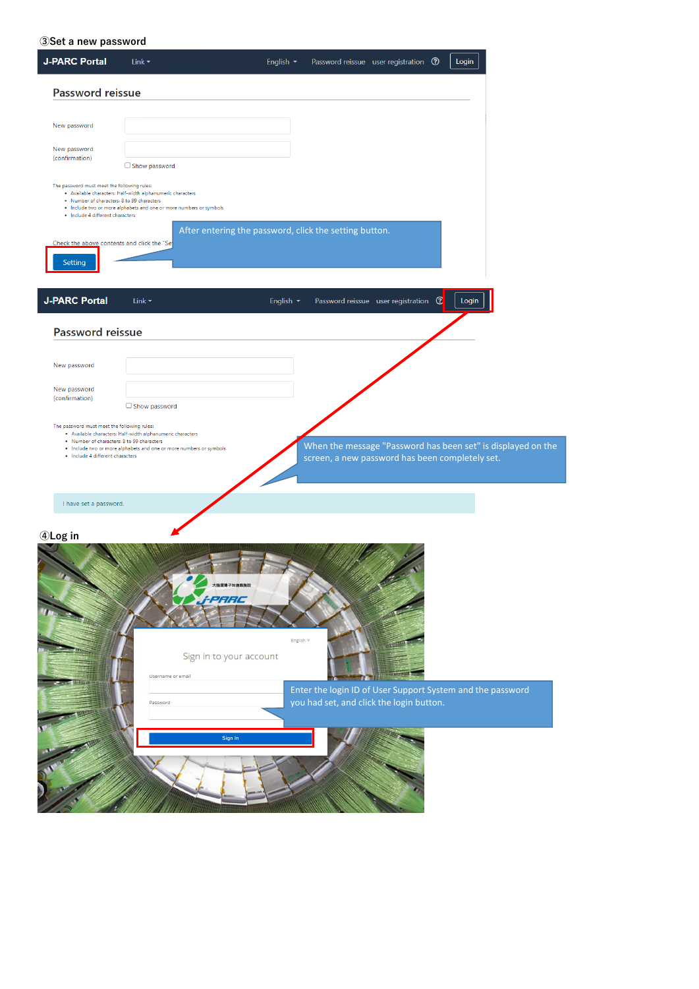**③Set a new password**

| <b>J-PARC Portal</b>                                                                                                                                                                   | Link $\blacktriangledown$                                                                                                        | English $\sim$                                         |                                                                                                        | Password reissue user registration <sup>3</sup>  | Login |                                                              |
|----------------------------------------------------------------------------------------------------------------------------------------------------------------------------------------|----------------------------------------------------------------------------------------------------------------------------------|--------------------------------------------------------|--------------------------------------------------------------------------------------------------------|--------------------------------------------------|-------|--------------------------------------------------------------|
| Password reissue                                                                                                                                                                       |                                                                                                                                  |                                                        |                                                                                                        |                                                  |       |                                                              |
| New password                                                                                                                                                                           |                                                                                                                                  |                                                        |                                                                                                        |                                                  |       |                                                              |
| New password<br>(confirmation)                                                                                                                                                         | $\Box$ Show password                                                                                                             |                                                        |                                                                                                        |                                                  |       |                                                              |
| The password must meet the following rules:<br>. Number of characters: 8 to 99 characters<br>· Include 4 different characters<br>Check the above contents and click the "Se<br>Setting | . Available characters: Half-width alphanumeric characters<br>. Include two or more alphabets and one or more numbers or symbols | After entering the password, click the setting button. |                                                                                                        |                                                  |       |                                                              |
| <b>J-PARC Portal</b>                                                                                                                                                                   | Link $\blacktriangleright$                                                                                                       | English v                                              |                                                                                                        | Password reissue user registration $\circled{2}$ | Login |                                                              |
| Password reissue                                                                                                                                                                       |                                                                                                                                  |                                                        |                                                                                                        |                                                  |       |                                                              |
| New password                                                                                                                                                                           |                                                                                                                                  |                                                        |                                                                                                        |                                                  |       |                                                              |
| New password<br>(confirmation)                                                                                                                                                         | $\Box$ Show password                                                                                                             |                                                        |                                                                                                        |                                                  |       |                                                              |
| The password must meet the following rules:<br>. Number of characters: 8 to 99 characters<br>· Include 4 different characters                                                          | · Available characters: Half-width alphanumeric characters<br>. Include two or more alphabets and one or more numbers or symbols |                                                        | screen, a new password has been completely set.                                                        |                                                  |       | When the message "Password has been set" is displayed on the |
| I have set a password.                                                                                                                                                                 |                                                                                                                                  |                                                        |                                                                                                        |                                                  |       |                                                              |
| 4Log in                                                                                                                                                                                | Username or email                                                                                                                | 大強度陽子加速器施設<br>PARC<br>Sign in to your account          | English v                                                                                              |                                                  |       |                                                              |
|                                                                                                                                                                                        | Password                                                                                                                         |                                                        | Enter the login ID of User Support System and the password<br>you had set, and click the login button. |                                                  |       |                                                              |
|                                                                                                                                                                                        |                                                                                                                                  | Sign In                                                |                                                                                                        |                                                  |       |                                                              |